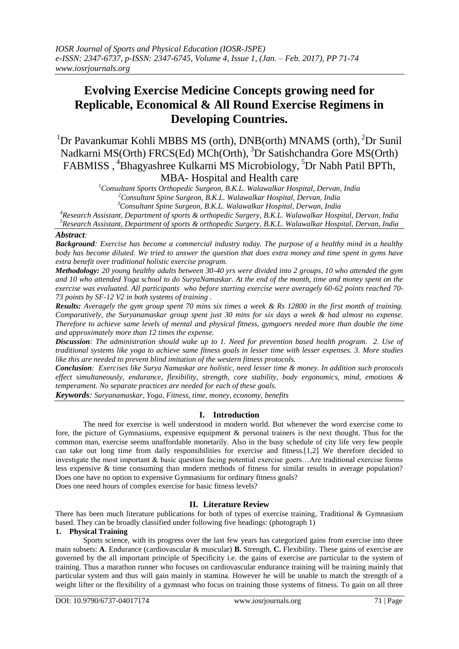# **Evolving Exercise Medicine Concepts growing need for Replicable, Economical & All Round Exercise Regimens in Developing Countries.**

<sup>1</sup>Dr Pavankumar Kohli MBBS MS (orth), DNB(orth) MNAMS (orth), <sup>2</sup>Dr Sunil Nadkarni MS(Orth) FRCS(Ed) MCh(Orth), <sup>3</sup>Dr Satishchandra Gore MS(Orth) FABMISS , <sup>4</sup>Bhagyashree Kulkarni MS Microbiology, <sup>5</sup>Dr Nabh Patil BPTh, MBA- Hospital and Health care

> *<sup>1</sup>Consultant Sports Orthopedic Surgeon, B.K.L. Walawalkar Hospital, Dervan, India <sup>2</sup>Consultant Spine Surgeon, B.K.L. Walawalkar Hospital, Dervan, India*

*<sup>3</sup>Consultant Spine Surgeon, B.K.L. Walawalkar Hospital, Derwan, India*

*<sup>4</sup>Research Assistant, Department of sports & orthopedic Surgery, B.K.L. Walawalkar Hospital, Dervan, India <sup>5</sup>Research Assistant, Department of sports & orthopedic Surgery, B.K.L. Walawalkar Hospital, Dervan, India*

## *Abstract:*

*Background: Exercise has become a commercial industry today. The purpose of a healthy mind in a healthy body has become diluted. We tried to answer the question that does extra money and time spent in gyms have extra benefit over traditional holistic exercise program.* 

*Methodology: 20 young healthy adults between 30-40 yrs were divided into 2 groups, 10 who attended the gym and 10 who attended Yoga school to do SuryaNamaskar. At the end of the month, time and money spent on the exercise was evaluated. All participants who before starting exercise were averagely 60-62 points reached 70- 73 points by SF-12 V2 in both systems of training .*

*Results: Averagely the gym group spent 70 mins six times a week & Rs 12800 in the first month of training. Comparatively, the Suryanamaskar group spent just 30 mins for six days a week & had almost no expense. Therefore to achieve same levels of mental and physical fitness, gymgoers needed more than double the time and approximately more than 12 times the expense.*

*Discussion: The administration should wake up to 1. Need for prevention based health program. 2. Use of traditional systems like yoga to achieve same fitness goals in lesser time with lesser expenses. 3. More studies like this are needed to prevent blind imitation of the western fitness protocols.*

*Conclusion: Exercises like Surya Namaskar are holistic, need lesser time & money. In addition such protocols effect simultaneously, endurance, flexibility, strength, core stability, body ergonomics, mind, emotions & temperament. No separate practices are needed for each of these goals.*

*Keywords: Suryanamaskar, Yoga, Fitness, time, money, economy, benefits*

## **I. Introduction**

The need for exercise is well understood in modern world. But whenever the word exercise come to fore, the picture of Gymnasiums, expensive equipment & personal trainers is the next thought. Thus for the common man, exercise seems unaffordable monetarily. Also in the busy schedule of city life very few people can take out long time from daily responsibilities for exercise and fitness.[1,2] We therefore decided to investigate the most important & basic question facing potential exercise goers…Are traditional exercise forms less expensive & time consuming than modern methods of fitness for similar results in average population? Does one have no option to expensive Gymnasiums for ordinary fitness goals?

Does one need hours of complex exercise for basic fitness levels?

## **II. Literature Review**

There has been much literature publications for both of types of exercise training, Traditional & Gymnasium based. They can be broadly classified under following five headings: (photograph 1)

## **1. Physical Training**

Sports science, with its progress over the last few years has categorized gains from exercise into three main subsets: **A**. Endurance (cardiovascular & muscular) **B.** Strength, **C.** Flexibility. These gains of exercise are governed by the all important principle of Specificity i.e. the gains of exercise are particular to the system of training. Thus a marathon runner who focuses on cardiovascular endurance training will be training mainly that particular system and thus will gain mainly in stamina. However he will be unable to match the strength of a weight lifter or the flexibility of a gymnast who focus on training those systems of fitness. To gain on all three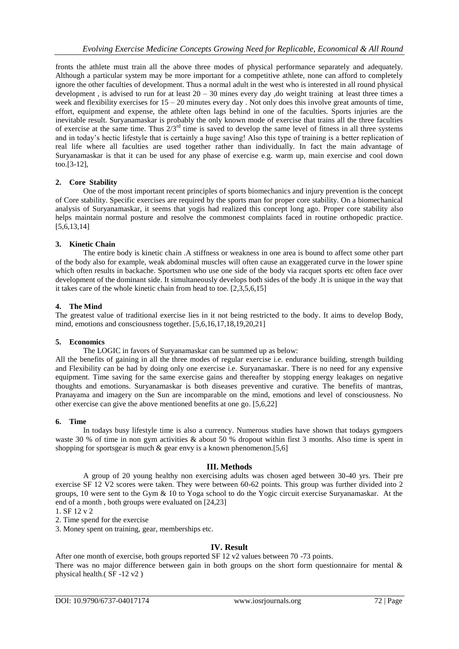fronts the athlete must train all the above three modes of physical performance separately and adequately. Although a particular system may be more important for a competitive athlete, none can afford to completely ignore the other faculties of development. Thus a normal adult in the west who is interested in all round physical development , is advised to run for at least 20 – 30 mines every day ,do weight training at least three times a week and flexibility exercises for  $15 - 20$  minutes every day. Not only does this involve great amounts of time, effort, equipment and expense, the athlete often lags behind in one of the faculties. Sports injuries are the inevitable result. Suryanamaskar is probably the only known mode of exercise that trains all the three faculties of exercise at the same time. Thus  $2/3^{rd}$  time is saved to develop the same level of fitness in all three systems and in today's hectic lifestyle that is certainly a huge saving! Also this type of training is a better replication of real life where all faculties are used together rather than individually. In fact the main advantage of Suryanamaskar is that it can be used for any phase of exercise e.g. warm up, main exercise and cool down too.[3-12],

## **2. Core Stability**

One of the most important recent principles of sports biomechanics and injury prevention is the concept of Core stability. Specific exercises are required by the sports man for proper core stability. On a biomechanical analysis of Suryanamaskar, it seems that yogis had realized this concept long ago. Proper core stability also helps maintain normal posture and resolve the commonest complaints faced in routine orthopedic practice. [5,6,13,14]

## **3. Kinetic Chain**

The entire body is kinetic chain .A stiffness or weakness in one area is bound to affect some other part of the body also for example, weak abdominal muscles will often cause an exaggerated curve in the lower spine which often results in backache. Sportsmen who use one side of the body via racquet sports etc often face over development of the dominant side. It simultaneously develops both sides of the body .It is unique in the way that it takes care of the whole kinetic chain from head to toe. [2,3,5,6,15]

## **4. The Mind**

The greatest value of traditional exercise lies in it not being restricted to the body. It aims to develop Body, mind, emotions and consciousness together. [5,6,16,17,18,19,20,21]

#### **5. Economics**

The LOGIC in favors of Suryanamaskar can be summed up as below:

All the benefits of gaining in all the three modes of regular exercise i.e. endurance building, strength building and Flexibility can be had by doing only one exercise i.e. Suryanamaskar. There is no need for any expensive equipment. Time saving for the same exercise gains and thereafter by stopping energy leakages on negative thoughts and emotions. Suryanamaskar is both diseases preventive and curative. The benefits of mantras, Pranayama and imagery on the Sun are incomparable on the mind, emotions and level of consciousness. No other exercise can give the above mentioned benefits at one go. [5,6,22]

### **6. Time**

In todays busy lifestyle time is also a currency. Numerous studies have shown that todays gymgoers waste 30 % of time in non gym activities & about 50 % dropout within first 3 months. Also time is spent in shopping for sportsgear is much  $\&$  gear envy is a known phenomenon.[5,6]

#### **III. Methods**

A group of 20 young healthy non exercising adults was chosen aged between 30-40 yrs. Their pre exercise SF 12 V2 scores were taken. They were between 60-62 points. This group was further divided into 2 groups, 10 were sent to the Gym & 10 to Yoga school to do the Yogic circuit exercise Suryanamaskar. At the end of a month , both groups were evaluated on [24,23]

1. SF 12 v 2

2. Time spend for the exercise

3. Money spent on training, gear, memberships etc.

## **IV. Result**

After one month of exercise, both groups reported SF 12 v2 values between 70 -73 points. There was no major difference between gain in both groups on the short form questionnaire for mental & physical health.( SF -12 v2 )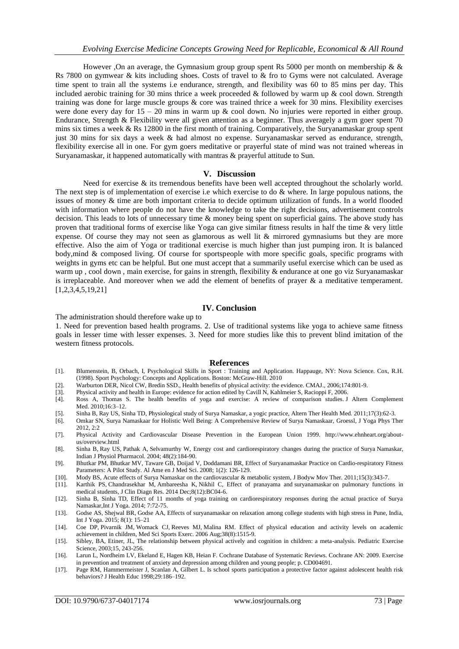However ,On an average, the Gymnasium group group spent Rs 5000 per month on membership &  $\&$ Rs 7800 on gymwear & kits including shoes. Costs of travel to & fro to Gyms were not calculated. Average time spent to train all the systems i.e endurance, strength, and flexibility was 60 to 85 mins per day. This included aerobic training for 30 mins thrice a week proceeded  $&$  followed by warm up  $&$  cool down. Strength training was done for large muscle groups & core was trained thrice a week for 30 mins. Flexibility exercises were done every day for 15 – 20 mins in warm up & cool down. No injuries were reported in either group. Endurance, Strength & Flexibility were all given attention as a beginner. Thus averagely a gym goer spent 70 mins six times a week & Rs 12800 in the first month of training. Comparatively, the Suryanamaskar group spent just 30 mins for six days a week & had almost no expense. Suryanamaskar served as endurance, strength, flexibility exercise all in one. For gym goers meditative or prayerful state of mind was not trained whereas in Suryanamaskar, it happened automatically with mantras & prayerful attitude to Sun.

#### **V. Discussion**

Need for exercise & its tremendous benefits have been well accepted throughout the scholarly world. The next step is of implementation of exercise i.e which exercise to do & where. In large populous nations, the issues of money & time are both important criteria to decide optimum utilization of funds. In a world flooded with information where people do not have the knowledge to take the right decisions, advertisement controls decision. This leads to lots of unnecessary time & money being spent on superficial gains. The above study has proven that traditional forms of exercise like Yoga can give similar fitness results in half the time & very little expense. Of course they may not seen as glamorous as well lit & mirrored gymnasiums but they are more effective. Also the aim of Yoga or traditional exercise is much higher than just pumping iron. It is balanced body,mind & composed living. Of course for sportspeople with more specific goals, specific programs with weights in gyms etc can be helpful. But one must accept that a summarily useful exercise which can be used as warm up, cool down, main exercise, for gains in strength, flexibility & endurance at one go viz Suryanamaskar is irreplaceable. And moreover when we add the element of benefits of prayer  $\&$  a meditative temperament. [1,2,3,4,5,19,21]

### **IV. Conclusion**

The administration should therefore wake up to

1. Need for prevention based health programs. 2. Use of traditional systems like yoga to achieve same fitness goals in lesser time with lesser expenses. 3. Need for more studies like this to prevent blind imitation of the western fitness protocols.

#### **References**

- [1]. Blumenstein, B, Orbach, I, Psychological Skills in Sport : Training and Application. Happauge, NY: Nova Science. Cox, R.H. (1998). Sport Psychology: Concepts and Applications. Boston: McGraw-Hill. 2010
- [2]. Warburton DER, Nicol CW, Bredin SSD., Health benefits of physical activity: the evidence. CMAJ., 2006;174:801-9.<br>[3]. Physical activity and health in Europe: evidence for action edited by Cavill N, Kahlmeier S, Raciop
- [3]. Physical activity and health in Europe: evidence for action edited by Cavill N, Kahlmeier S, Racioppi F, 2006.
- [4]. Ross A, Thomas S. The health benefits of yoga and exercise: A review of comparison studies. J Altern Complement Med. 2010;16:3–12.
- [5]. [Sinha B,](https://www.ncbi.nlm.nih.gov/pubmed/?term=Sinha%20B%5BAuthor%5D&cauthor=true&cauthor_uid=22164814) [Ray US,](https://www.ncbi.nlm.nih.gov/pubmed/?term=Ray%20US%5BAuthor%5D&cauthor=true&cauthor_uid=22164814) [Sinha TD,](https://www.ncbi.nlm.nih.gov/pubmed/?term=Sinha%20TD%5BAuthor%5D&cauthor=true&cauthor_uid=22164814) Physiological study of Surya Namaskar, a yogic practice, [Altern Ther Health Med.](https://www.ncbi.nlm.nih.gov/pubmed/22164814) 2011;17(3):62-3.
- [6]. Omkar SN, Surya Namaskaar for Holistic Well Being: A Comprehensive Review of Surya Namaskaar, Groessl, J Yoga Phys Ther 2012, 2:2
- [7]. Physical Activity and Cardiovascular Disease Prevention in the European Union 1999. [http://www.ehnheart.org/about](http://www.ehnheart.org/about-us/overview.html)[us/overview.html](http://www.ehnheart.org/about-us/overview.html)
- [8]. [Sinha B,](https://www.ncbi.nlm.nih.gov/pubmed/?term=Sinha%20B%5BAuthor%5D&cauthor=true&cauthor_uid=15521557) [Ray US,](https://www.ncbi.nlm.nih.gov/pubmed/?term=Ray%20US%5BAuthor%5D&cauthor=true&cauthor_uid=15521557) [Pathak A,](https://www.ncbi.nlm.nih.gov/pubmed/?term=Pathak%20A%5BAuthor%5D&cauthor=true&cauthor_uid=15521557) [Selvamurthy W,](https://www.ncbi.nlm.nih.gov/pubmed/?term=Selvamurthy%20W%5BAuthor%5D&cauthor=true&cauthor_uid=15521557) Energy cost and cardiorespiratory changes during the practice of Surya Namaskar, [Indian J Physiol Pharmacol.](https://www.ncbi.nlm.nih.gov/pubmed/15521557) 2004; 48(2):184-90.
- [9]. Bhutkar PM, Bhutkar MV, Taware GB, Doijad V, Doddamani BR, Effect of Suryanamaskar Practice on Cardio-respiratory Fitness Parameters: A Pilot Study. Al Ame en J Med Sci. 2008; 1(2): 126-129.
- [10]. [Mody BS,](https://www.ncbi.nlm.nih.gov/pubmed/?term=Mody%20BS%5BAuthor%5D&cauthor=true&cauthor_uid=21665111) Acute effects of Surya Namaskar on the cardiovascular & metabolic system[, J Bodyw Mov Ther.](https://www.ncbi.nlm.nih.gov/pubmed/21665111) 2011;15(3):343-7.
- [Karthik PS,](https://www.ncbi.nlm.nih.gov/pubmed/?term=Karthik%20PS%5BAuthor%5D&cauthor=true&cauthor_uid=25653936) [Chandrasekhar M,](https://www.ncbi.nlm.nih.gov/pubmed/?term=Chandrasekhar%20M%5BAuthor%5D&cauthor=true&cauthor_uid=25653936) [Ambareesha K,](https://www.ncbi.nlm.nih.gov/pubmed/?term=Ambareesha%20K%5BAuthor%5D&cauthor=true&cauthor_uid=25653936) [Nikhil C,](https://www.ncbi.nlm.nih.gov/pubmed/?term=Nikhil%20C%5BAuthor%5D&cauthor=true&cauthor_uid=25653936) Effect of pranayama and suryanamaskar on pulmonary functions in medical students[, J Clin Diagn Res.](https://www.ncbi.nlm.nih.gov/pubmed/25653936) 2014 Dec;8(12):BC04-6.
- [12]. Sinha B, Sinha TD, Effect of 11 months of yoga training on cardiorespiratory responses during the actual practice of Surya Namaskar,Int J Yoga. 2014; 7:72-75.
- [13]. [Godse](https://www.ncbi.nlm.nih.gov/pubmed/?term=Godse%20AS%5BAuthor%5D&cauthor=true&cauthor_uid=25558129) AS, [Shejwal](https://www.ncbi.nlm.nih.gov/pubmed/?term=Shejwal%20BR%5BAuthor%5D&cauthor=true&cauthor_uid=25558129) BR, [Godse](https://www.ncbi.nlm.nih.gov/pubmed/?term=Godse%20AA%5BAuthor%5D&cauthor=true&cauthor_uid=25558129) AA, Effects of suryanamaskar on relaxation among college students with high stress in Pune, India, [Int J Yoga.](https://www.ncbi.nlm.nih.gov/pmc/articles/PMC4278130/) 2015; 8(1): 15–21
- [14]. [Coe DP,](https://www.ncbi.nlm.nih.gov/pubmed/?term=Coe%20DP%5BAuthor%5D&cauthor=true&cauthor_uid=16888468) [Pivarnik JM,](https://www.ncbi.nlm.nih.gov/pubmed/?term=Pivarnik%20JM%5BAuthor%5D&cauthor=true&cauthor_uid=16888468) [Womack CJ,](https://www.ncbi.nlm.nih.gov/pubmed/?term=Womack%20CJ%5BAuthor%5D&cauthor=true&cauthor_uid=16888468) [Reeves MJ,](https://www.ncbi.nlm.nih.gov/pubmed/?term=Reeves%20MJ%5BAuthor%5D&cauthor=true&cauthor_uid=16888468) [Malina RM.](https://www.ncbi.nlm.nih.gov/pubmed/?term=Malina%20RM%5BAuthor%5D&cauthor=true&cauthor_uid=16888468) Effect of physical education and activity levels on academic achievement in children, [Med Sci Sports Exerc.](https://www.ncbi.nlm.nih.gov/pubmed/16888468) 2006 Aug;38(8):1515-9.
- [15]. Sibley, BA, Etiner, JL, The relationship between physical actively and cognition in children: a meta-analysis. Pediatric Exercise Science, 2003;15, 243-256.
- [16]. Larun L, Nordheim LV, Ekeland E, Hagen KB, Heian F. Cochrane Database of Systematic Reviews. Cochrane AN: 2009. Exercise in prevention and treatment of anxiety and depression among children and young people; p. CD004691.
- [17]. Page RM, Hammermeister J, Scanlan A, Gilbert L. Is school sports participation a protective factor against adolescent health risk behaviors? J Health Educ 1998;29:186–192.